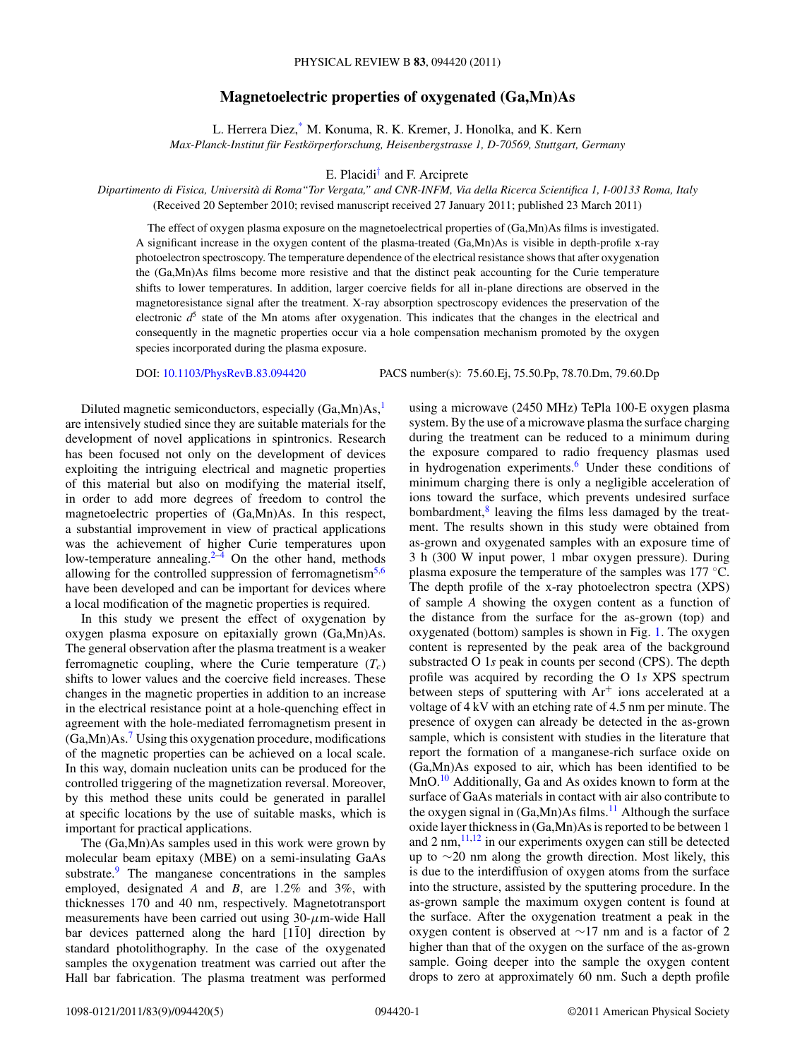## **Magnetoelectric properties of oxygenated (Ga,Mn)As**

L. Herrera Diez,[\\*](#page-3-0) M. Konuma, R. K. Kremer, J. Honolka, and K. Kern *Max-Planck-Institut fur Festk ¨ orperforschung, Heisenbergstrasse 1, D-70569, Stuttgart, Germany ¨*

E. Placidi[†](#page-3-0) and F. Arciprete

*Dipartimento di Fisica, Universita di Roma"Tor Vergata," and CNR-INFM, Via della Ricerca Scientifica 1, I-00133 Roma, Italy `* (Received 20 September 2010; revised manuscript received 27 January 2011; published 23 March 2011)

The effect of oxygen plasma exposure on the magnetoelectrical properties of (Ga,Mn)As films is investigated. A significant increase in the oxygen content of the plasma-treated (Ga,Mn)As is visible in depth-profile x-ray photoelectron spectroscopy. The temperature dependence of the electrical resistance shows that after oxygenation the (Ga,Mn)As films become more resistive and that the distinct peak accounting for the Curie temperature shifts to lower temperatures. In addition, larger coercive fields for all in-plane directions are observed in the magnetoresistance signal after the treatment. X-ray absorption spectroscopy evidences the preservation of the electronic  $d^5$  state of the Mn atoms after oxygenation. This indicates that the changes in the electrical and consequently in the magnetic properties occur via a hole compensation mechanism promoted by the oxygen species incorporated during the plasma exposure.

DOI: [10.1103/PhysRevB.83.094420](http://dx.doi.org/10.1103/PhysRevB.83.094420) PACS number(s): 75*.*60*.*Ej, 75*.*50*.*Pp, 78*.*70*.*Dm, 79*.*60*.*Dp

Diluted magnetic semiconductors, especially (Ga,Mn)As,<sup>1</sup> are intensively studied since they are suitable materials for the development of novel applications in spintronics. Research has been focused not only on the development of devices exploiting the intriguing electrical and magnetic properties of this material but also on modifying the material itself, in order to add more degrees of freedom to control the magnetoelectric properties of (Ga,Mn)As. In this respect, a substantial improvement in view of practical applications was the achievement of higher Curie temperatures upon low-temperature annealing.<sup>2[–4](#page-4-0)</sup> On the other hand, methods allowing for the controlled suppression of ferromagnetism $5,6$ have been developed and can be important for devices where a local modification of the magnetic properties is required.

In this study we present the effect of oxygenation by oxygen plasma exposure on epitaxially grown (Ga,Mn)As. The general observation after the plasma treatment is a weaker ferromagnetic coupling, where the Curie temperature  $(T_c)$ shifts to lower values and the coercive field increases. These changes in the magnetic properties in addition to an increase in the electrical resistance point at a hole-quenching effect in agreement with the hole-mediated ferromagnetism present in  $(Ga, Mn)As.<sup>7</sup>$  $(Ga, Mn)As.<sup>7</sup>$  $(Ga, Mn)As.<sup>7</sup>$  Using this oxygenation procedure, modifications of the magnetic properties can be achieved on a local scale. In this way, domain nucleation units can be produced for the controlled triggering of the magnetization reversal. Moreover, by this method these units could be generated in parallel at specific locations by the use of suitable masks, which is important for practical applications.

The (Ga,Mn)As samples used in this work were grown by molecular beam epitaxy (MBE) on a semi-insulating GaAs substrate.<sup>9</sup> The manganese concentrations in the samples employed, designated *A* and *B*, are 1.2% and 3%, with thicknesses 170 and 40 nm, respectively. Magnetotransport measurements have been carried out using 30-*μ*m-wide Hall bar devices patterned along the hard  $[1\bar{1}0]$  direction by standard photolithography. In the case of the oxygenated samples the oxygenation treatment was carried out after the Hall bar fabrication. The plasma treatment was performed

using a microwave (2450 MHz) TePla 100-E oxygen plasma system. By the use of a microwave plasma the surface charging during the treatment can be reduced to a minimum during the exposure compared to radio frequency plasmas used in hydrogenation experiments.<sup>6</sup> Under these conditions of minimum charging there is only a negligible acceleration of ions toward the surface, which prevents undesired surface bombardment, $\frac{8}{3}$  leaving the films less damaged by the treatment. The results shown in this study were obtained from as-grown and oxygenated samples with an exposure time of 3 h (300 W input power, 1 mbar oxygen pressure). During plasma exposure the temperature of the samples was 177 ◦C. The depth profile of the x-ray photoelectron spectra (XPS) of sample *A* showing the oxygen content as a function of the distance from the surface for the as-grown (top) and oxygenated (bottom) samples is shown in Fig. [1.](#page-1-0) The oxygen content is represented by the peak area of the background substracted O 1*s* peak in counts per second (CPS). The depth profile was acquired by recording the O 1*s* XPS spectrum between steps of sputtering with  $Ar^+$  ions accelerated at a voltage of 4 kV with an etching rate of 4.5 nm per minute. The presence of oxygen can already be detected in the as-grown sample, which is consistent with studies in the literature that report the formation of a manganese-rich surface oxide on (Ga,Mn)As exposed to air, which has been identified to be MnO.<sup>[10](#page-4-0)</sup> Additionally, Ga and As oxides known to form at the surface of GaAs materials in contact with air also contribute to the oxygen signal in  $(Ga, Mn)As films.<sup>11</sup> Although the surface$ oxide layer thickness in (Ga,Mn)As is reported to be between 1 and  $2 \text{ nm}$ ,  $^{11,12}$  $^{11,12}$  $^{11,12}$  in our experiments oxygen can still be detected up to ∼20 nm along the growth direction. Most likely, this is due to the interdiffusion of oxygen atoms from the surface into the structure, assisted by the sputtering procedure. In the as-grown sample the maximum oxygen content is found at the surface. After the oxygenation treatment a peak in the oxygen content is observed at ∼17 nm and is a factor of 2 higher than that of the oxygen on the surface of the as-grown sample. Going deeper into the sample the oxygen content drops to zero at approximately 60 nm. Such a depth profile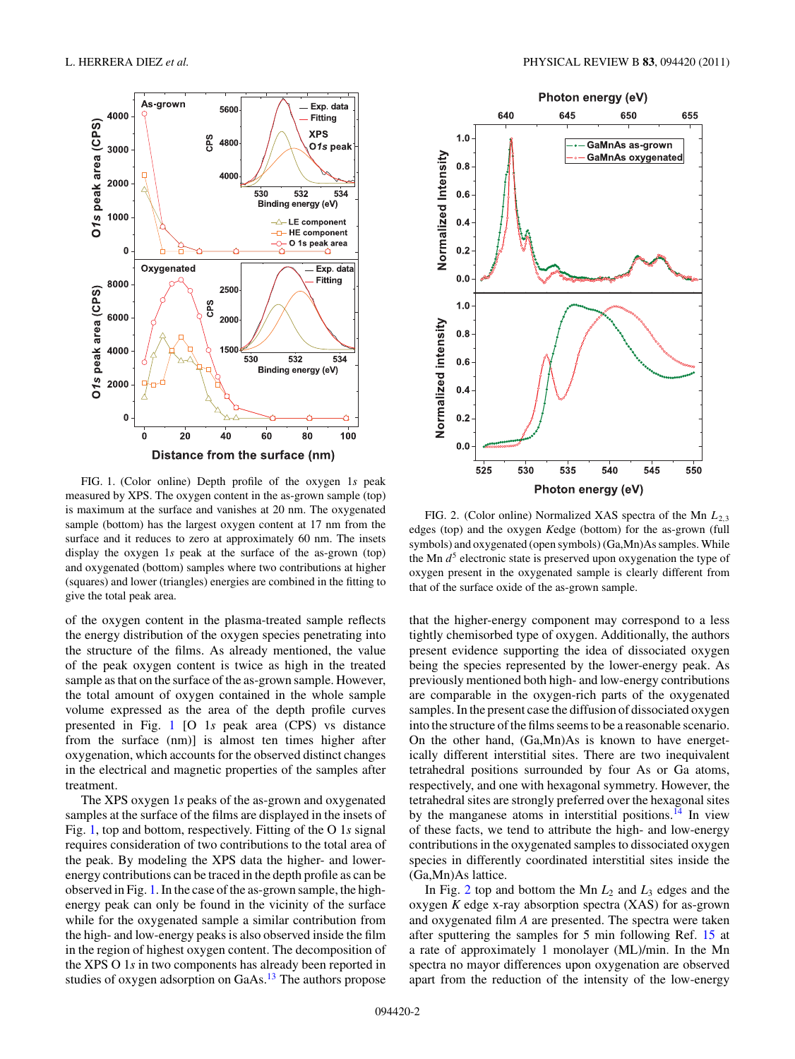<span id="page-1-0"></span>

FIG. 1. (Color online) Depth profile of the oxygen 1*s* peak measured by XPS. The oxygen content in the as-grown sample (top) is maximum at the surface and vanishes at 20 nm. The oxygenated sample (bottom) has the largest oxygen content at 17 nm from the surface and it reduces to zero at approximately 60 nm. The insets display the oxygen 1*s* peak at the surface of the as-grown (top) and oxygenated (bottom) samples where two contributions at higher (squares) and lower (triangles) energies are combined in the fitting to give the total peak area.

of the oxygen content in the plasma-treated sample reflects the energy distribution of the oxygen species penetrating into the structure of the films. As already mentioned, the value of the peak oxygen content is twice as high in the treated sample as that on the surface of the as-grown sample. However, the total amount of oxygen contained in the whole sample volume expressed as the area of the depth profile curves presented in Fig. 1 [O 1*s* peak area (CPS) vs distance from the surface (nm)] is almost ten times higher after oxygenation, which accounts for the observed distinct changes in the electrical and magnetic properties of the samples after treatment.

The XPS oxygen 1*s* peaks of the as-grown and oxygenated samples at the surface of the films are displayed in the insets of Fig. 1, top and bottom, respectively. Fitting of the O 1*s* signal requires consideration of two contributions to the total area of the peak. By modeling the XPS data the higher- and lowerenergy contributions can be traced in the depth profile as can be observed in Fig. 1. In the case of the as-grown sample, the highenergy peak can only be found in the vicinity of the surface while for the oxygenated sample a similar contribution from the high- and low-energy peaks is also observed inside the film in the region of highest oxygen content. The decomposition of the XPS O 1*s* in two components has already been reported in studies of oxygen adsorption on GaAs.<sup>[13](#page-4-0)</sup> The authors propose



FIG. 2. (Color online) Normalized XAS spectra of the Mn  $L_{2,3}$ edges (top) and the oxygen *K*edge (bottom) for the as-grown (full symbols) and oxygenated (open symbols) (Ga,Mn)As samples. While the Mn  $d^5$  electronic state is preserved upon oxygenation the type of oxygen present in the oxygenated sample is clearly different from that of the surface oxide of the as-grown sample.

that the higher-energy component may correspond to a less tightly chemisorbed type of oxygen. Additionally, the authors present evidence supporting the idea of dissociated oxygen being the species represented by the lower-energy peak. As previously mentioned both high- and low-energy contributions are comparable in the oxygen-rich parts of the oxygenated samples. In the present case the diffusion of dissociated oxygen into the structure of the films seems to be a reasonable scenario. On the other hand, (Ga,Mn)As is known to have energetically different interstitial sites. There are two inequivalent tetrahedral positions surrounded by four As or Ga atoms, respectively, and one with hexagonal symmetry. However, the tetrahedral sites are strongly preferred over the hexagonal sites by the manganese atoms in interstitial positions.<sup>[14](#page-4-0)</sup> In view of these facts, we tend to attribute the high- and low-energy contributions in the oxygenated samples to dissociated oxygen species in differently coordinated interstitial sites inside the (Ga,Mn)As lattice.

In Fig. 2 top and bottom the Mn *L*<sup>2</sup> and *L*<sup>3</sup> edges and the oxygen *K* edge x-ray absorption spectra (XAS) for as-grown and oxygenated film *A* are presented. The spectra were taken after sputtering the samples for 5 min following Ref. [15](#page-4-0) at a rate of approximately 1 monolayer (ML)/min. In the Mn spectra no mayor differences upon oxygenation are observed apart from the reduction of the intensity of the low-energy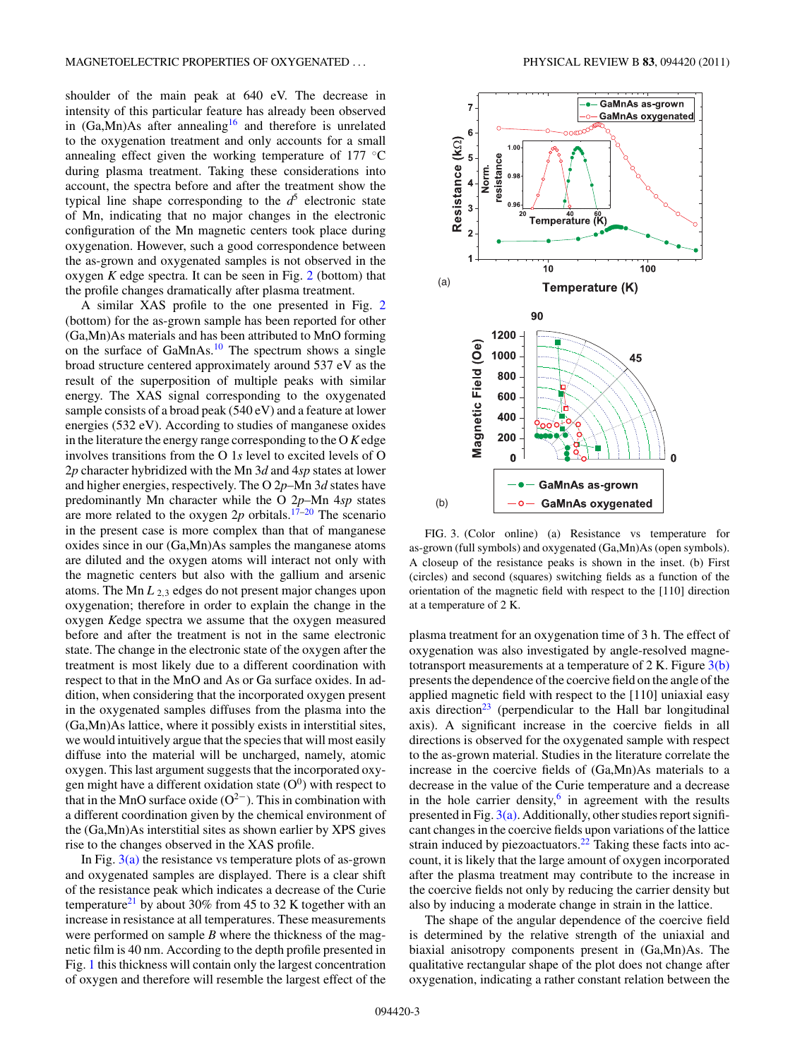shoulder of the main peak at 640 eV. The decrease in intensity of this particular feature has already been observed in  $(Ga, Mn)As$  after annealing<sup>16</sup> and therefore is unrelated to the oxygenation treatment and only accounts for a small annealing effect given the working temperature of 177 °C during plasma treatment. Taking these considerations into account, the spectra before and after the treatment show the typical line shape corresponding to the  $d^5$  electronic state of Mn, indicating that no major changes in the electronic configuration of the Mn magnetic centers took place during oxygenation. However, such a good correspondence between the as-grown and oxygenated samples is not observed in the oxygen *K* edge spectra. It can be seen in Fig. [2](#page-1-0) (bottom) that the profile changes dramatically after plasma treatment.

A similar XAS profile to the one presented in Fig. [2](#page-1-0) (bottom) for the as-grown sample has been reported for other (Ga,Mn)As materials and has been attributed to MnO forming on the surface of GaMnAs. $^{10}$  The spectrum shows a single broad structure centered approximately around 537 eV as the result of the superposition of multiple peaks with similar energy. The XAS signal corresponding to the oxygenated sample consists of a broad peak (540 eV) and a feature at lower energies (532 eV). According to studies of manganese oxides in the literature the energy range corresponding to the O *K* edge involves transitions from the O 1*s* level to excited levels of O 2*p* character hybridized with the Mn 3*d* and 4*sp* states at lower and higher energies, respectively. The O 2*p*–Mn 3*d* states have predominantly Mn character while the O 2*p*–Mn 4*sp* states are more related to the oxygen  $2p$  orbitals.<sup>[17–20](#page-4-0)</sup> The scenario in the present case is more complex than that of manganese oxides since in our (Ga,Mn)As samples the manganese atoms are diluted and the oxygen atoms will interact not only with the magnetic centers but also with the gallium and arsenic atoms. The Mn *L* <sup>2</sup>*,*<sup>3</sup> edges do not present major changes upon oxygenation; therefore in order to explain the change in the oxygen *K*edge spectra we assume that the oxygen measured before and after the treatment is not in the same electronic state. The change in the electronic state of the oxygen after the treatment is most likely due to a different coordination with respect to that in the MnO and As or Ga surface oxides. In addition, when considering that the incorporated oxygen present in the oxygenated samples diffuses from the plasma into the (Ga,Mn)As lattice, where it possibly exists in interstitial sites, we would intuitively argue that the species that will most easily diffuse into the material will be uncharged, namely, atomic oxygen. This last argument suggests that the incorporated oxygen might have a different oxidation state  $(O<sup>0</sup>)$  with respect to that in the MnO surface oxide  $(O<sup>2−</sup>)$ . This in combination with a different coordination given by the chemical environment of the (Ga,Mn)As interstitial sites as shown earlier by XPS gives rise to the changes observed in the XAS profile.

In Fig.  $3(a)$  the resistance vs temperature plots of as-grown and oxygenated samples are displayed. There is a clear shift of the resistance peak which indicates a decrease of the Curie temperature<sup>21</sup> by about 30% from 45 to 32 K together with an increase in resistance at all temperatures. These measurements were performed on sample *B* where the thickness of the magnetic film is 40 nm. According to the depth profile presented in Fig. [1](#page-1-0) this thickness will contain only the largest concentration of oxygen and therefore will resemble the largest effect of the



FIG. 3. (Color online) (a) Resistance vs temperature for as-grown (full symbols) and oxygenated (Ga,Mn)As (open symbols). A closeup of the resistance peaks is shown in the inset. (b) First (circles) and second (squares) switching fields as a function of the orientation of the magnetic field with respect to the [110] direction at a temperature of 2 K.

plasma treatment for an oxygenation time of 3 h. The effect of oxygenation was also investigated by angle-resolved magnetotransport measurements at a temperature of 2 K. Figure  $3(b)$ presents the dependence of the coercive field on the angle of the applied magnetic field with respect to the [110] uniaxial easy axis direction<sup>23</sup> (perpendicular to the Hall bar longitudinal axis). A significant increase in the coercive fields in all directions is observed for the oxygenated sample with respect to the as-grown material. Studies in the literature correlate the increase in the coercive fields of (Ga,Mn)As materials to a decrease in the value of the Curie temperature and a decrease in the hole carrier density,<sup>[6](#page-4-0)</sup> in agreement with the results presented in Fig.  $3(a)$ . Additionally, other studies report significant changes in the coercive fields upon variations of the lattice strain induced by piezoactuators. $22$  Taking these facts into account, it is likely that the large amount of oxygen incorporated after the plasma treatment may contribute to the increase in the coercive fields not only by reducing the carrier density but also by inducing a moderate change in strain in the lattice.

The shape of the angular dependence of the coercive field is determined by the relative strength of the uniaxial and biaxial anisotropy components present in (Ga,Mn)As. The qualitative rectangular shape of the plot does not change after oxygenation, indicating a rather constant relation between the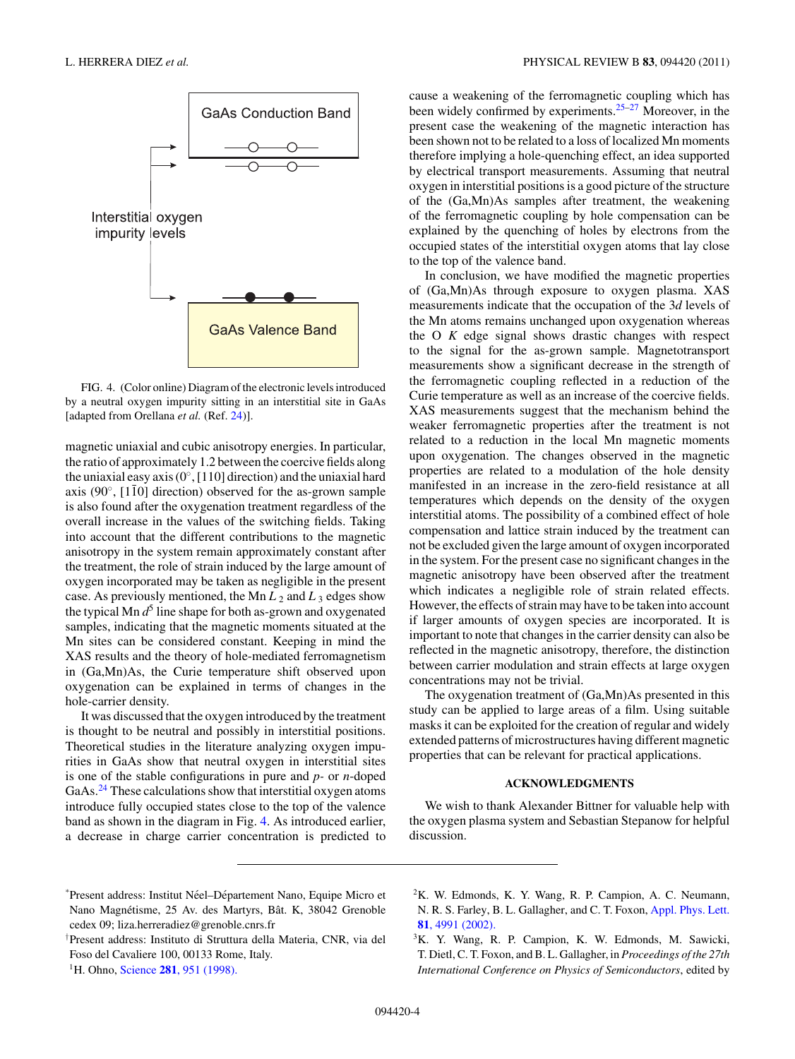<span id="page-3-0"></span>

FIG. 4. (Color online) Diagram of the electronic levels introduced by a neutral oxygen impurity sitting in an interstitial site in GaAs [adapted from Orellana *et al.* (Ref. [24\)](#page-4-0)].

magnetic uniaxial and cubic anisotropy energies. In particular, the ratio of approximately 1.2 between the coercive fields along the uniaxial easy axis  $(0°, [110]$  direction) and the uniaxial hard axis (90 $\degree$ , [110] direction) observed for the as-grown sample is also found after the oxygenation treatment regardless of the overall increase in the values of the switching fields. Taking into account that the different contributions to the magnetic anisotropy in the system remain approximately constant after the treatment, the role of strain induced by the large amount of oxygen incorporated may be taken as negligible in the present case. As previously mentioned, the Mn  $L_2$  and  $L_3$  edges show the typical Mn  $d^5$  line shape for both as-grown and oxygenated samples, indicating that the magnetic moments situated at the Mn sites can be considered constant. Keeping in mind the XAS results and the theory of hole-mediated ferromagnetism in (Ga,Mn)As, the Curie temperature shift observed upon oxygenation can be explained in terms of changes in the hole-carrier density.

It was discussed that the oxygen introduced by the treatment is thought to be neutral and possibly in interstitial positions. Theoretical studies in the literature analyzing oxygen impurities in GaAs show that neutral oxygen in interstitial sites is one of the stable configurations in pure and *p-* or *n*-doped GaAs.<sup>[24](#page-4-0)</sup> These calculations show that interstitial oxygen atoms introduce fully occupied states close to the top of the valence band as shown in the diagram in Fig. 4. As introduced earlier, a decrease in charge carrier concentration is predicted to cause a weakening of the ferromagnetic coupling which has been widely confirmed by experiments. $25-27$  Moreover, in the present case the weakening of the magnetic interaction has been shown not to be related to a loss of localized Mn moments therefore implying a hole-quenching effect, an idea supported by electrical transport measurements. Assuming that neutral oxygen in interstitial positions is a good picture of the structure of the (Ga,Mn)As samples after treatment, the weakening of the ferromagnetic coupling by hole compensation can be explained by the quenching of holes by electrons from the occupied states of the interstitial oxygen atoms that lay close to the top of the valence band.

In conclusion, we have modified the magnetic properties of (Ga,Mn)As through exposure to oxygen plasma. XAS measurements indicate that the occupation of the 3*d* levels of the Mn atoms remains unchanged upon oxygenation whereas the O *K* edge signal shows drastic changes with respect to the signal for the as-grown sample. Magnetotransport measurements show a significant decrease in the strength of the ferromagnetic coupling reflected in a reduction of the Curie temperature as well as an increase of the coercive fields. XAS measurements suggest that the mechanism behind the weaker ferromagnetic properties after the treatment is not related to a reduction in the local Mn magnetic moments upon oxygenation. The changes observed in the magnetic properties are related to a modulation of the hole density manifested in an increase in the zero-field resistance at all temperatures which depends on the density of the oxygen interstitial atoms. The possibility of a combined effect of hole compensation and lattice strain induced by the treatment can not be excluded given the large amount of oxygen incorporated in the system. For the present case no significant changes in the magnetic anisotropy have been observed after the treatment which indicates a negligible role of strain related effects. However, the effects of strain may have to be taken into account if larger amounts of oxygen species are incorporated. It is important to note that changes in the carrier density can also be reflected in the magnetic anisotropy, therefore, the distinction between carrier modulation and strain effects at large oxygen concentrations may not be trivial.

The oxygenation treatment of (Ga,Mn)As presented in this study can be applied to large areas of a film. Using suitable masks it can be exploited for the creation of regular and widely extended patterns of microstructures having different magnetic properties that can be relevant for practical applications.

## **ACKNOWLEDGMENTS**

We wish to thank Alexander Bittner for valuable help with the oxygen plasma system and Sebastian Stepanow for helpful discussion.

2K. W. Edmonds, K. Y. Wang, R. P. Campion, A. C. Neumann, N. R. S. Farley, B. L. Gallagher, and C. T. Foxon, [Appl. Phys. Lett.](http://dx.doi.org/10.1063/1.1529079) **81**[, 4991 \(2002\).](http://dx.doi.org/10.1063/1.1529079)

<sup>\*</sup>Present address: Institut Néel-Département Nano, Equipe Micro et Nano Magnétisme, 25 Av. des Martyrs, Bât. K, 38042 Grenoble cedex 09; liza.herreradiez@grenoble.cnrs.fr

<sup>†</sup> Present address: Instituto di Struttura della Materia, CNR, via del Foso del Cavaliere 100, 00133 Rome, Italy.

<sup>&</sup>lt;sup>1</sup>H. Ohno, Science **281**[, 951 \(1998\).](http://dx.doi.org/10.1126/science.281.5379.951)

<sup>&</sup>lt;sup>3</sup>K. Y. Wang, R. P. Campion, K. W. Edmonds, M. Sawicki, T. Dietl, C. T. Foxon, and B. L. Gallagher, in *Proceedings of the 27th International Conference on Physics of Semiconductors*, edited by